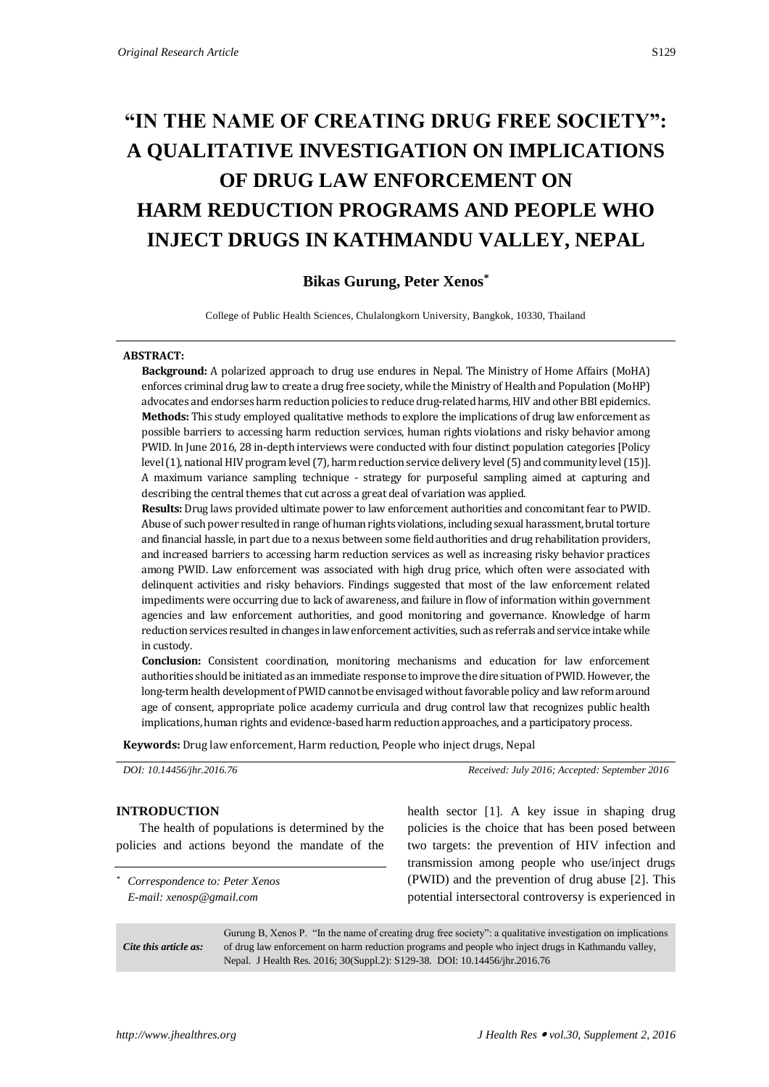# **"IN THE NAME OF CREATING DRUG FREE SOCIETY": A QUALITATIVE INVESTIGATION ON IMPLICATIONS OF DRUG LAW ENFORCEMENT ON HARM REDUCTION PROGRAMS AND PEOPLE WHO INJECT DRUGS IN KATHMANDU VALLEY, NEPAL**

# **Bikas Gurung, Peter Xenos\***

College of Public Health Sciences, Chulalongkorn University, Bangkok, 10330, Thailand

#### **ABSTRACT:**

**Background:** A polarized approach to drug use endures in Nepal. The Ministry of Home Affairs (MoHA) enforces criminal drug law to create a drug free society, while the Ministry of Health and Population (MoHP) advocates and endorses harm reduction policies to reduce drug-related harms, HIV and other BBI epidemics. **Methods:** This study employed qualitative methods to explore the implications of drug law enforcement as possible barriers to accessing harm reduction services, human rights violations and risky behavior among PWID. In June 2016, 28 in-depth interviews were conducted with four distinct population categories [Policy level (1), national HIV program level (7), harm reduction service delivery level (5) and community level (15)]. A maximum variance sampling technique - strategy for purposeful sampling aimed at capturing and describing the central themes that cut across a great deal of variation was applied.

**Results:** Drug laws provided ultimate power to law enforcement authorities and concomitant fear to PWID. Abuse of such power resulted in range of human rights violations, including sexual harassment, brutal torture and financial hassle, in part due to a nexus between some field authorities and drug rehabilitation providers, and increased barriers to accessing harm reduction services as well as increasing risky behavior practices among PWID. Law enforcement was associated with high drug price, which often were associated with delinquent activities and risky behaviors. Findings suggested that most of the law enforcement related impediments were occurring due to lack of awareness, and failure in flow of information within government agencies and law enforcement authorities, and good monitoring and governance. Knowledge of harm reduction services resulted in changes in law enforcement activities, such as referrals and service intake while in custody.

**Conclusion:** Consistent coordination, monitoring mechanisms and education for law enforcement authorities should be initiated as an immediate response to improve the dire situation of PWID. However, the long-term health development of PWID cannot be envisaged without favorable policy and law reform around age of consent, appropriate police academy curricula and drug control law that recognizes public health implications, human rights and evidence-based harm reduction approaches, and a participatory process.

**Keywords:** Drug law enforcement, Harm reduction, People who inject drugs, Nepal

*DOI: 10.14456/jhr.2016.76 Received: July 2016; Accepted: September 2016*

#### **INTRODUCTION**

The health of populations is determined by the policies and actions beyond the mandate of the

*\* Correspondence to: Peter Xenos E-mail: xenosp@gmail.com*

health sector [1]. A key issue in shaping drug policies is the choice that has been posed between two targets: the prevention of HIV infection and transmission among people who use/inject drugs (PWID) and the prevention of drug abuse [2]. This potential intersectoral controversy is experienced in

*Cite this article as:* Gurung B, Xenos P. "In the name of creating drug free society": a qualitative investigation on implications of drug law enforcement on harm reduction programs and people who inject drugs in Kathmandu valley, Nepal. J Health Res. 2016; 30(Suppl.2): S129-38. DOI: 10.14456/jhr.2016.76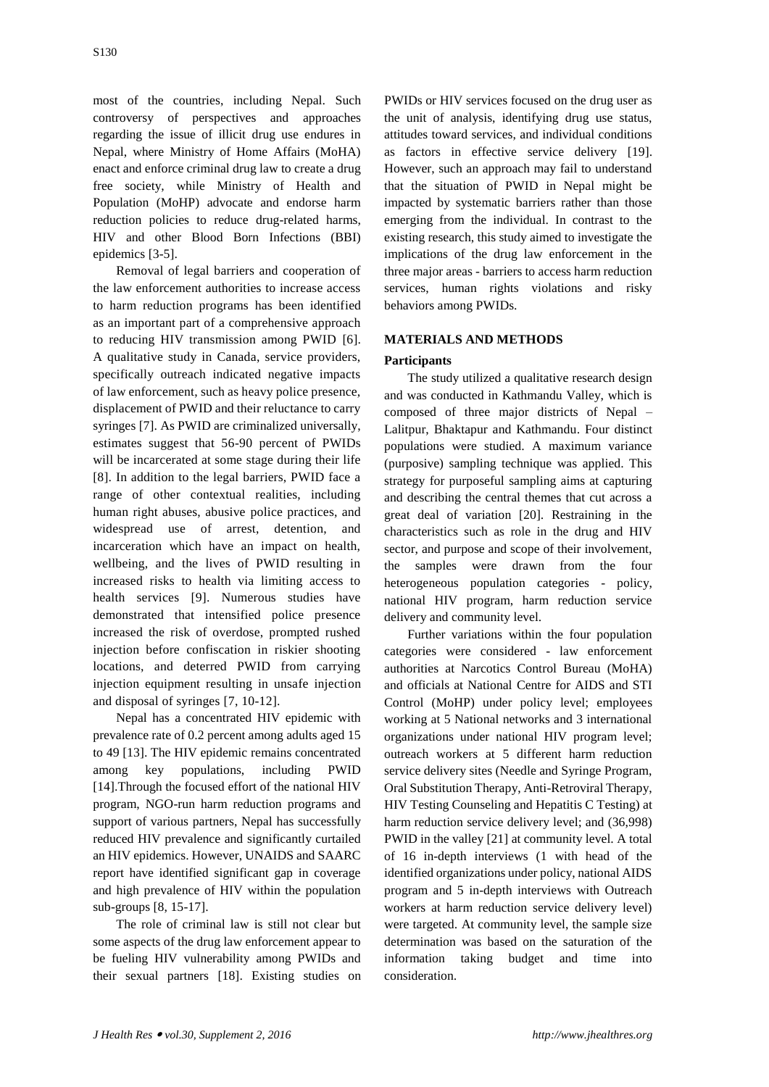most of the countries, including Nepal. Such controversy of perspectives and approaches regarding the issue of illicit drug use endures in Nepal, where Ministry of Home Affairs (MoHA) enact and enforce criminal drug law to create a drug free society, while Ministry of Health and Population (MoHP) advocate and endorse harm reduction policies to reduce drug-related harms, HIV and other Blood Born Infections (BBI) epidemics [3-5].

Removal of legal barriers and cooperation of the law enforcement authorities to increase access to harm reduction programs has been identified as an important part of a comprehensive approach to reducing HIV transmission among PWID [6]. A qualitative study in Canada, service providers, specifically outreach indicated negative impacts of law enforcement, such as heavy police presence, displacement of PWID and their reluctance to carry syringes [7]. As PWID are criminalized universally, estimates suggest that 56-90 percent of PWIDs will be incarcerated at some stage during their life [8]. In addition to the legal barriers, PWID face a range of other contextual realities, including human right abuses, abusive police practices, and widespread use of arrest, detention, and incarceration which have an impact on health, wellbeing, and the lives of PWID resulting in increased risks to health via limiting access to health services [9]. Numerous studies have demonstrated that intensified police presence increased the risk of overdose, prompted rushed injection before confiscation in riskier shooting locations, and deterred PWID from carrying injection equipment resulting in unsafe injection and disposal of syringes [7, 10-12].

Nepal has a concentrated HIV epidemic with prevalence rate of 0.2 percent among adults aged 15 to 49 [13]. The HIV epidemic remains concentrated among key populations, including PWID [14].Through the focused effort of the national HIV program, NGO-run harm reduction programs and support of various partners, Nepal has successfully reduced HIV prevalence and significantly curtailed an HIV epidemics. However, UNAIDS and SAARC report have identified significant gap in coverage and high prevalence of HIV within the population sub-groups [8, 15-17].

The role of criminal law is still not clear but some aspects of the drug law enforcement appear to be fueling HIV vulnerability among PWIDs and their sexual partners [18]. Existing studies on

PWIDs or HIV services focused on the drug user as the unit of analysis, identifying drug use status, attitudes toward services, and individual conditions as factors in effective service delivery [19]. However, such an approach may fail to understand that the situation of PWID in Nepal might be impacted by systematic barriers rather than those emerging from the individual. In contrast to the existing research, this study aimed to investigate the implications of the drug law enforcement in the three major areas - barriers to access harm reduction services, human rights violations and risky behaviors among PWIDs.

# **MATERIALS AND METHODS**

## **Participants**

The study utilized a qualitative research design and was conducted in Kathmandu Valley, which is composed of three major districts of Nepal – Lalitpur, Bhaktapur and Kathmandu. Four distinct populations were studied. A maximum variance (purposive) sampling technique was applied. This strategy for purposeful sampling aims at capturing and describing the central themes that cut across a great deal of variation [20]. Restraining in the characteristics such as role in the drug and HIV sector, and purpose and scope of their involvement, the samples were drawn from the four heterogeneous population categories - policy, national HIV program, harm reduction service delivery and community level.

Further variations within the four population categories were considered - law enforcement authorities at Narcotics Control Bureau (MoHA) and officials at National Centre for AIDS and STI Control (MoHP) under policy level; employees working at 5 National networks and 3 international organizations under national HIV program level; outreach workers at 5 different harm reduction service delivery sites (Needle and Syringe Program, Oral Substitution Therapy, Anti-Retroviral Therapy, HIV Testing Counseling and Hepatitis C Testing) at harm reduction service delivery level; and (36,998) PWID in the valley [21] at community level. A total of 16 in-depth interviews (1 with head of the identified organizations under policy, national AIDS program and 5 in-depth interviews with Outreach workers at harm reduction service delivery level) were targeted. At community level, the sample size determination was based on the saturation of the information taking budget and time into consideration.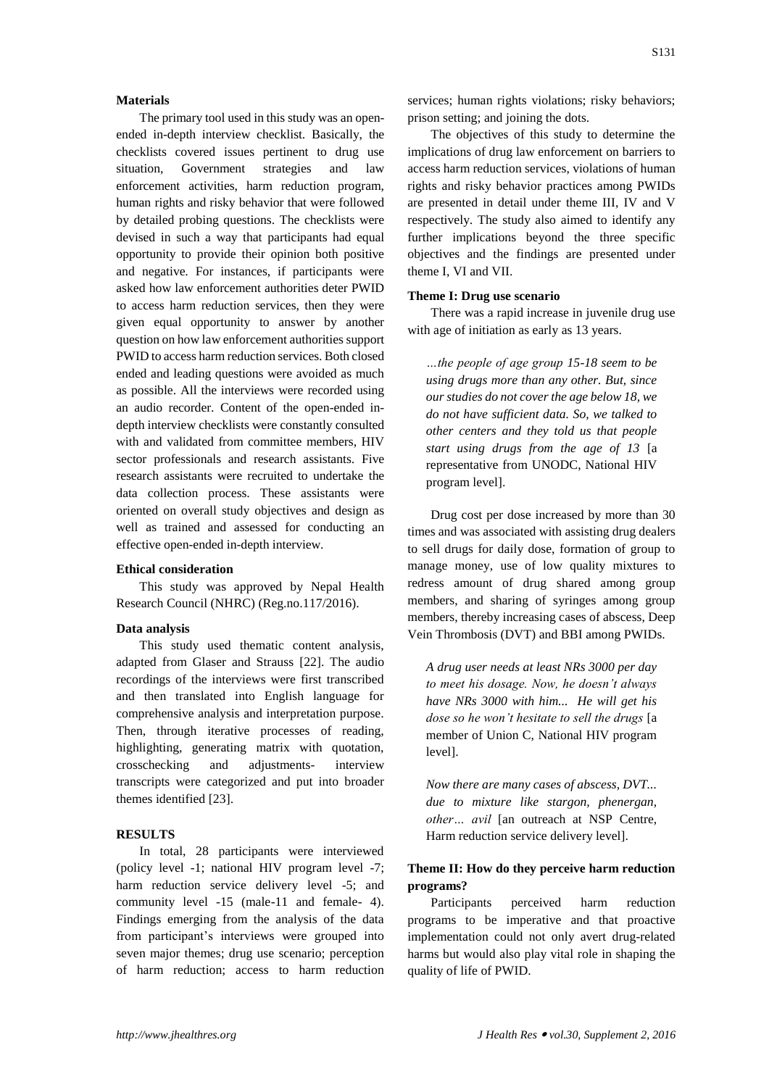## **Materials**

The primary tool used in this study was an openended in-depth interview checklist. Basically, the checklists covered issues pertinent to drug use situation, Government strategies and law enforcement activities, harm reduction program, human rights and risky behavior that were followed by detailed probing questions. The checklists were devised in such a way that participants had equal opportunity to provide their opinion both positive and negative. For instances, if participants were asked how law enforcement authorities deter PWID to access harm reduction services, then they were given equal opportunity to answer by another question on how law enforcement authorities support PWID to access harm reduction services. Both closed ended and leading questions were avoided as much as possible. All the interviews were recorded using an audio recorder. Content of the open-ended indepth interview checklists were constantly consulted with and validated from committee members, HIV sector professionals and research assistants. Five research assistants were recruited to undertake the data collection process. These assistants were oriented on overall study objectives and design as well as trained and assessed for conducting an effective open-ended in-depth interview.

#### **Ethical consideration**

This study was approved by Nepal Health Research Council (NHRC) (Reg.no.117/2016).

#### **Data analysis**

This study used thematic content analysis, adapted from Glaser and Strauss [22]. The audio recordings of the interviews were first transcribed and then translated into English language for comprehensive analysis and interpretation purpose. Then, through iterative processes of reading, highlighting, generating matrix with quotation, crosschecking and adjustments- interview transcripts were categorized and put into broader themes identified [23].

## **RESULTS**

In total, 28 participants were interviewed (policy level -1; national HIV program level -7; harm reduction service delivery level -5; and community level -15 (male-11 and female- 4). Findings emerging from the analysis of the data from participant's interviews were grouped into seven major themes; drug use scenario; perception of harm reduction; access to harm reduction

services; human rights violations; risky behaviors; prison setting; and joining the dots.

The objectives of this study to determine the implications of drug law enforcement on barriers to access harm reduction services, violations of human rights and risky behavior practices among PWIDs are presented in detail under theme III, IV and V respectively. The study also aimed to identify any further implications beyond the three specific objectives and the findings are presented under theme I, VI and VII.

#### **Theme I: Drug use scenario**

There was a rapid increase in juvenile drug use with age of initiation as early as 13 years.

*…the people of age group 15-18 seem to be using drugs more than any other. But, since our studies do not cover the age below 18, we do not have sufficient data. So, we talked to other centers and they told us that people start using drugs from the age of 13* [a representative from UNODC, National HIV program level].

Drug cost per dose increased by more than 30 times and was associated with assisting drug dealers to sell drugs for daily dose, formation of group to manage money, use of low quality mixtures to redress amount of drug shared among group members, and sharing of syringes among group members, thereby increasing cases of abscess, Deep Vein Thrombosis (DVT) and BBI among PWIDs.

*A drug user needs at least NRs 3000 per day to meet his dosage. Now, he doesn't always have NRs 3000 with him... He will get his dose so he won't hesitate to sell the drugs* [a member of Union C, National HIV program level].

*Now there are many cases of abscess, DVT... due to mixture like stargon, phenergan, other… avil* [an outreach at NSP Centre, Harm reduction service delivery level].

## **Theme II: How do they perceive harm reduction programs?**

Participants perceived harm reduction programs to be imperative and that proactive implementation could not only avert drug-related harms but would also play vital role in shaping the quality of life of PWID.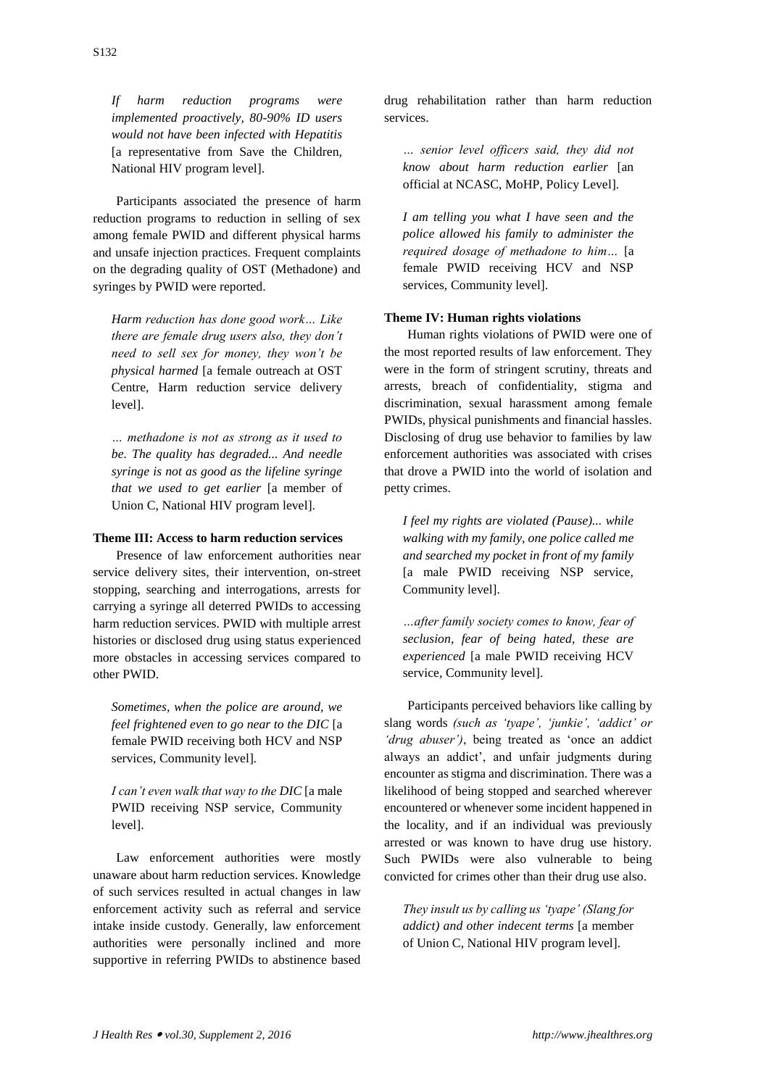*If harm reduction programs were implemented proactively, 80-90% ID users would not have been infected with Hepatitis*  [a representative from Save the Children, National HIV program level].

Participants associated the presence of harm reduction programs to reduction in selling of sex among female PWID and different physical harms and unsafe injection practices. Frequent complaints on the degrading quality of OST (Methadone) and syringes by PWID were reported.

*Harm reduction has done good work… Like there are female drug users also, they don't need to sell sex for money, they won't be physical harmed* [a female outreach at OST Centre, Harm reduction service delivery level].

*… methadone is not as strong as it used to be. The quality has degraded... And needle syringe is not as good as the lifeline syringe that we used to get earlier* [a member of Union C, National HIV program level].

## **Theme III: Access to harm reduction services**

Presence of law enforcement authorities near service delivery sites, their intervention, on-street stopping, searching and interrogations, arrests for carrying a syringe all deterred PWIDs to accessing harm reduction services. PWID with multiple arrest histories or disclosed drug using status experienced more obstacles in accessing services compared to other PWID.

*Sometimes, when the police are around, we feel frightened even to go near to the DIC* [a female PWID receiving both HCV and NSP services, Community level]*.*

*I can't even walk that way to the DIC* [a male PWID receiving NSP service, Community level].

Law enforcement authorities were mostly unaware about harm reduction services. Knowledge of such services resulted in actual changes in law enforcement activity such as referral and service intake inside custody. Generally, law enforcement authorities were personally inclined and more supportive in referring PWIDs to abstinence based drug rehabilitation rather than harm reduction services.

*… senior level officers said, they did not know about harm reduction earlier* [an official at NCASC, MoHP, Policy Level].

*I am telling you what I have seen and the police allowed his family to administer the required dosage of methadone to him…* [a female PWID receiving HCV and NSP services, Community level].

#### **Theme IV: Human rights violations**

Human rights violations of PWID were one of the most reported results of law enforcement. They were in the form of stringent scrutiny, threats and arrests, breach of confidentiality, stigma and discrimination, sexual harassment among female PWIDs, physical punishments and financial hassles. Disclosing of drug use behavior to families by law enforcement authorities was associated with crises that drove a PWID into the world of isolation and petty crimes.

*I feel my rights are violated (Pause)... while walking with my family, one police called me and searched my pocket in front of my family*  [a male PWID receiving NSP service, Community level].

*…after family society comes to know, fear of seclusion, fear of being hated, these are experienced* [a male PWID receiving HCV service, Community level].

Participants perceived behaviors like calling by slang words *(such as 'tyape', 'junkie', 'addict' or 'drug abuser')*, being treated as 'once an addict always an addict', and unfair judgments during encounter as stigma and discrimination. There was a likelihood of being stopped and searched wherever encountered or whenever some incident happened in the locality, and if an individual was previously arrested or was known to have drug use history. Such PWIDs were also vulnerable to being convicted for crimes other than their drug use also.

*They insult us by calling us 'tyape' (Slang for addict) and other indecent terms* [a member of Union C, National HIV program level].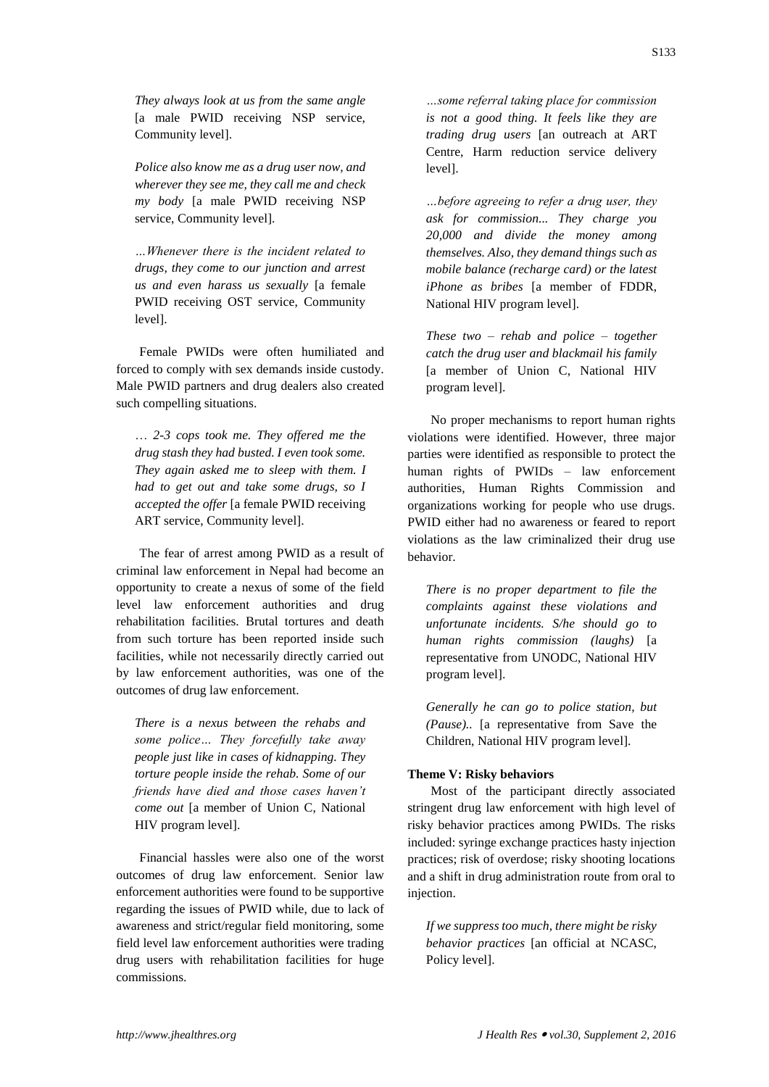*They always look at us from the same angle* [a male PWID receiving NSP service, Community level].

*Police also know me as a drug user now, and wherever they see me, they call me and check my body* [a male PWID receiving NSP service, Community level].

*…Whenever there is the incident related to drugs, they come to our junction and arrest us and even harass us sexually* [a female PWID receiving OST service, Community level].

Female PWIDs were often humiliated and forced to comply with sex demands inside custody. Male PWID partners and drug dealers also created such compelling situations.

… *2-3 cops took me. They offered me the drug stash they had busted. I even took some. They again asked me to sleep with them. I had to get out and take some drugs, so I accepted the offer* [a female PWID receiving ART service, Community level].

The fear of arrest among PWID as a result of criminal law enforcement in Nepal had become an opportunity to create a nexus of some of the field level law enforcement authorities and drug rehabilitation facilities. Brutal tortures and death from such torture has been reported inside such facilities, while not necessarily directly carried out by law enforcement authorities, was one of the outcomes of drug law enforcement.

*There is a nexus between the rehabs and some police… They forcefully take away people just like in cases of kidnapping. They torture people inside the rehab. Some of our friends have died and those cases haven't come out* [a member of Union C, National HIV program level].

Financial hassles were also one of the worst outcomes of drug law enforcement. Senior law enforcement authorities were found to be supportive regarding the issues of PWID while, due to lack of awareness and strict/regular field monitoring, some field level law enforcement authorities were trading drug users with rehabilitation facilities for huge commissions.

*…some referral taking place for commission is not a good thing. It feels like they are trading drug users* [an outreach at ART Centre, Harm reduction service delivery level].

*…before agreeing to refer a drug user, they ask for commission... They charge you 20,000 and divide the money among themselves. Also, they demand things such as mobile balance (recharge card) or the latest iPhone as bribes* [a member of FDDR, National HIV program level].

*These two – rehab and police – together catch the drug user and blackmail his family*  [a member of Union C, National HIV program level].

No proper mechanisms to report human rights violations were identified. However, three major parties were identified as responsible to protect the human rights of PWIDs – law enforcement authorities, Human Rights Commission and organizations working for people who use drugs. PWID either had no awareness or feared to report violations as the law criminalized their drug use behavior.

*There is no proper department to file the complaints against these violations and unfortunate incidents. S/he should go to human rights commission (laughs)* [a representative from UNODC, National HIV program level].

*Generally he can go to police station, but (Pause)..* [a representative from Save the Children, National HIV program level].

### **Theme V: Risky behaviors**

Most of the participant directly associated stringent drug law enforcement with high level of risky behavior practices among PWIDs. The risks included: syringe exchange practices hasty injection practices; risk of overdose; risky shooting locations and a shift in drug administration route from oral to injection.

*If we suppress too much, there might be risky behavior practices* [an official at NCASC, Policy level].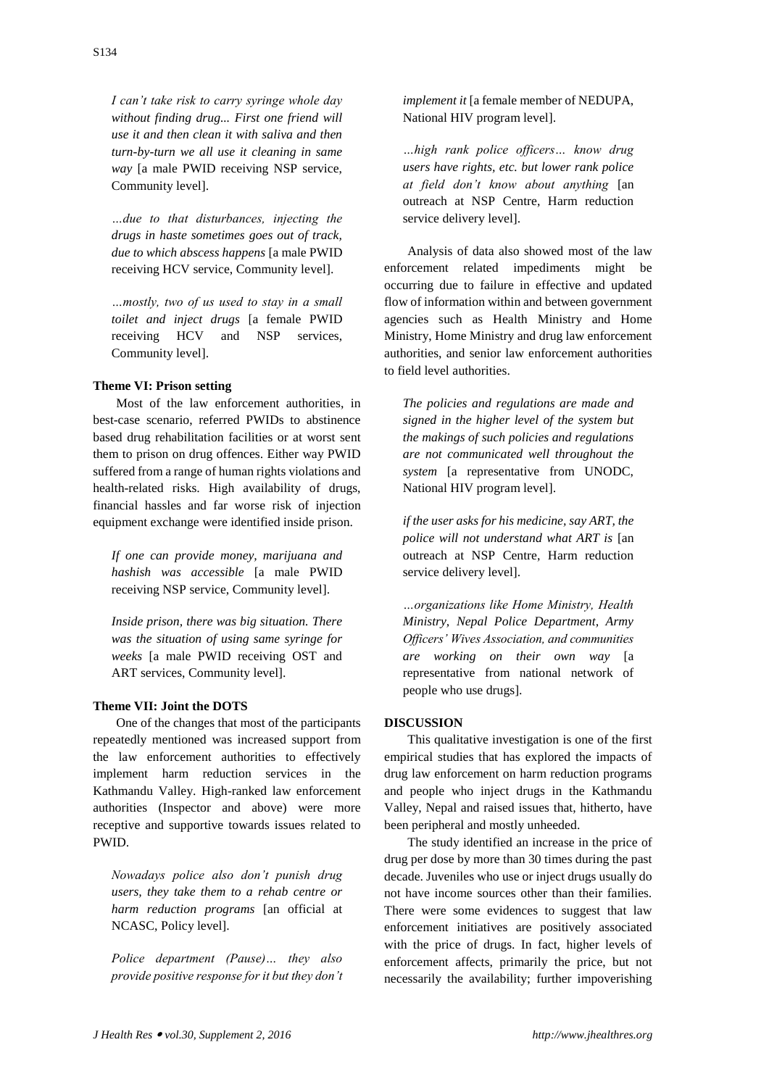*I can't take risk to carry syringe whole day without finding drug... First one friend will use it and then clean it with saliva and then turn-by-turn we all use it cleaning in same way* [a male PWID receiving NSP service, Community level].

*…due to that disturbances, injecting the drugs in haste sometimes goes out of track, due to which abscess happens* [a male PWID receiving HCV service, Community level].

*…mostly, two of us used to stay in a small toilet and inject drugs* [a female PWID receiving HCV and NSP services, Community level].

## **Theme VI: Prison setting**

Most of the law enforcement authorities, in best-case scenario, referred PWIDs to abstinence based drug rehabilitation facilities or at worst sent them to prison on drug offences. Either way PWID suffered from a range of human rights violations and health-related risks. High availability of drugs, financial hassles and far worse risk of injection equipment exchange were identified inside prison.

*If one can provide money, marijuana and hashish was accessible* [a male PWID receiving NSP service, Community level].

*Inside prison, there was big situation. There was the situation of using same syringe for weeks* [a male PWID receiving OST and ART services, Community level].

#### **Theme VII: Joint the DOTS**

One of the changes that most of the participants repeatedly mentioned was increased support from the law enforcement authorities to effectively implement harm reduction services in the Kathmandu Valley. High-ranked law enforcement authorities (Inspector and above) were more receptive and supportive towards issues related to PWID.

*Nowadays police also don't punish drug users, they take them to a rehab centre or harm reduction programs* [an official at NCASC, Policy level].

*Police department (Pause)… they also provide positive response for it but they don't*  *implement it* [a female member of NEDUPA, National HIV program level].

*…high rank police officers… know drug users have rights, etc. but lower rank police at field don't know about anything* [an outreach at NSP Centre, Harm reduction service delivery level].

Analysis of data also showed most of the law enforcement related impediments might be occurring due to failure in effective and updated flow of information within and between government agencies such as Health Ministry and Home Ministry, Home Ministry and drug law enforcement authorities, and senior law enforcement authorities to field level authorities.

*The policies and regulations are made and signed in the higher level of the system but the makings of such policies and regulations are not communicated well throughout the system* [a representative from UNODC, National HIV program level].

*if the user asks for his medicine, say ART, the police will not understand what ART is* [an outreach at NSP Centre, Harm reduction service delivery level].

*…organizations like Home Ministry, Health Ministry, Nepal Police Department, Army Officers' Wives Association, and communities are working on their own way* [a representative from national network of people who use drugs].

#### **DISCUSSION**

This qualitative investigation is one of the first empirical studies that has explored the impacts of drug law enforcement on harm reduction programs and people who inject drugs in the Kathmandu Valley, Nepal and raised issues that, hitherto, have been peripheral and mostly unheeded.

The study identified an increase in the price of drug per dose by more than 30 times during the past decade. Juveniles who use or inject drugs usually do not have income sources other than their families. There were some evidences to suggest that law enforcement initiatives are positively associated with the price of drugs. In fact, higher levels of enforcement affects, primarily the price, but not necessarily the availability; further impoverishing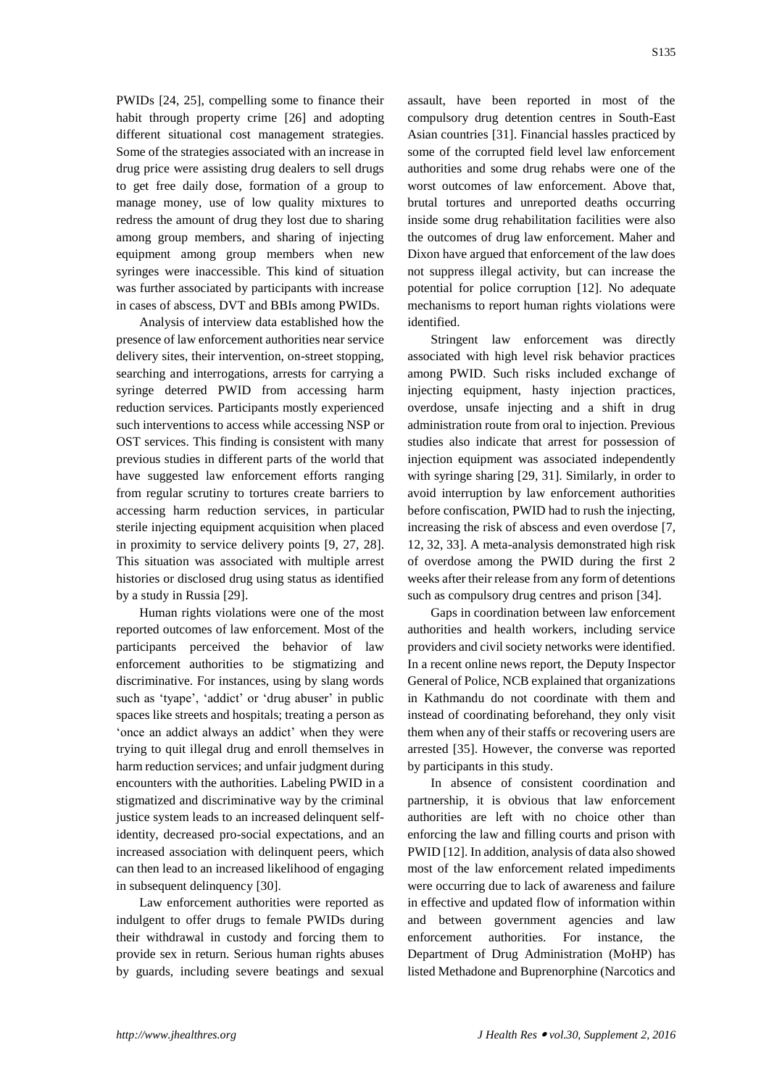PWIDs [24, 25], compelling some to finance their habit through property crime [26] and adopting different situational cost management strategies. Some of the strategies associated with an increase in drug price were assisting drug dealers to sell drugs to get free daily dose, formation of a group to manage money, use of low quality mixtures to redress the amount of drug they lost due to sharing among group members, and sharing of injecting equipment among group members when new syringes were inaccessible. This kind of situation was further associated by participants with increase in cases of abscess, DVT and BBIs among PWIDs.

Analysis of interview data established how the presence of law enforcement authorities near service delivery sites, their intervention, on-street stopping, searching and interrogations, arrests for carrying a syringe deterred PWID from accessing harm reduction services. Participants mostly experienced such interventions to access while accessing NSP or OST services. This finding is consistent with many previous studies in different parts of the world that have suggested law enforcement efforts ranging from regular scrutiny to tortures create barriers to accessing harm reduction services, in particular sterile injecting equipment acquisition when placed in proximity to service delivery points [9, 27, 28]. This situation was associated with multiple arrest histories or disclosed drug using status as identified by a study in Russia [29].

Human rights violations were one of the most reported outcomes of law enforcement. Most of the participants perceived the behavior of law enforcement authorities to be stigmatizing and discriminative. For instances, using by slang words such as 'tyape', 'addict' or 'drug abuser' in public spaces like streets and hospitals; treating a person as 'once an addict always an addict' when they were trying to quit illegal drug and enroll themselves in harm reduction services; and unfair judgment during encounters with the authorities. Labeling PWID in a stigmatized and discriminative way by the criminal justice system leads to an increased delinquent selfidentity, decreased pro-social expectations, and an increased association with delinquent peers, which can then lead to an increased likelihood of engaging in subsequent delinquency [30].

Law enforcement authorities were reported as indulgent to offer drugs to female PWIDs during their withdrawal in custody and forcing them to provide sex in return. Serious human rights abuses by guards, including severe beatings and sexual assault, have been reported in most of the compulsory drug detention centres in South-East Asian countries [31]. Financial hassles practiced by some of the corrupted field level law enforcement authorities and some drug rehabs were one of the worst outcomes of law enforcement. Above that, brutal tortures and unreported deaths occurring inside some drug rehabilitation facilities were also the outcomes of drug law enforcement. Maher and Dixon have argued that enforcement of the law does not suppress illegal activity, but can increase the potential for police corruption [12]. No adequate mechanisms to report human rights violations were identified.

Stringent law enforcement was directly associated with high level risk behavior practices among PWID. Such risks included exchange of injecting equipment, hasty injection practices, overdose, unsafe injecting and a shift in drug administration route from oral to injection. Previous studies also indicate that arrest for possession of injection equipment was associated independently with syringe sharing [29, 31]. Similarly, in order to avoid interruption by law enforcement authorities before confiscation, PWID had to rush the injecting, increasing the risk of abscess and even overdose [7, 12, 32, 33]. A meta-analysis demonstrated high risk of overdose among the PWID during the first 2 weeks after their release from any form of detentions such as compulsory drug centres and prison [34].

Gaps in coordination between law enforcement authorities and health workers, including service providers and civil society networks were identified. In a recent online news report, the Deputy Inspector General of Police, NCB explained that organizations in Kathmandu do not coordinate with them and instead of coordinating beforehand, they only visit them when any of their staffs or recovering users are arrested [35]. However, the converse was reported by participants in this study.

In absence of consistent coordination and partnership, it is obvious that law enforcement authorities are left with no choice other than enforcing the law and filling courts and prison with PWID [12]. In addition, analysis of data also showed most of the law enforcement related impediments were occurring due to lack of awareness and failure in effective and updated flow of information within and between government agencies and law enforcement authorities. For instance, the Department of Drug Administration (MoHP) has listed Methadone and Buprenorphine (Narcotics and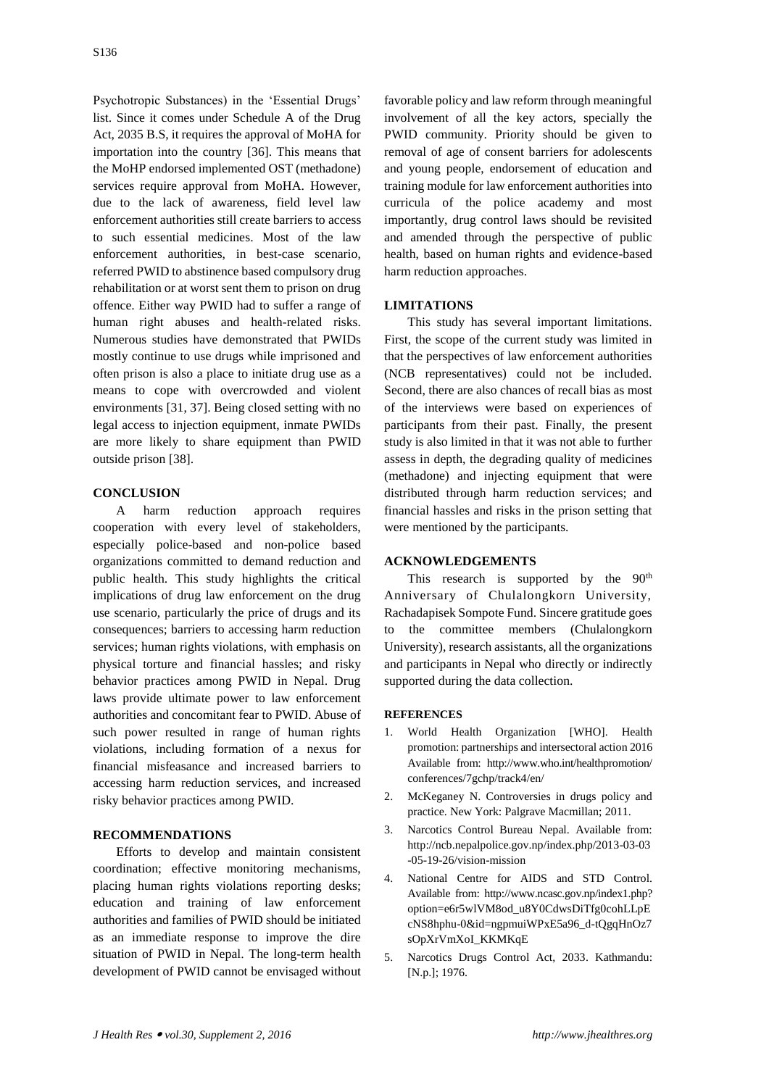Psychotropic Substances) in the 'Essential Drugs' list. Since it comes under Schedule A of the Drug Act, 2035 B.S, it requires the approval of MoHA for importation into the country [36]. This means that the MoHP endorsed implemented OST (methadone) services require approval from MoHA. However, due to the lack of awareness, field level law enforcement authorities still create barriers to access to such essential medicines. Most of the law enforcement authorities, in best-case scenario, referred PWID to abstinence based compulsory drug rehabilitation or at worst sent them to prison on drug offence. Either way PWID had to suffer a range of human right abuses and health-related risks. Numerous studies have demonstrated that PWIDs mostly continue to use drugs while imprisoned and often prison is also a place to initiate drug use as a means to cope with overcrowded and violent environments [31, 37]. Being closed setting with no legal access to injection equipment, inmate PWIDs are more likely to share equipment than PWID outside prison [38].

## **CONCLUSION**

A harm reduction approach requires cooperation with every level of stakeholders, especially police-based and non-police based organizations committed to demand reduction and public health. This study highlights the critical implications of drug law enforcement on the drug use scenario, particularly the price of drugs and its consequences; barriers to accessing harm reduction services; human rights violations, with emphasis on physical torture and financial hassles; and risky behavior practices among PWID in Nepal. Drug laws provide ultimate power to law enforcement authorities and concomitant fear to PWID. Abuse of such power resulted in range of human rights violations, including formation of a nexus for financial misfeasance and increased barriers to accessing harm reduction services, and increased risky behavior practices among PWID.

#### **RECOMMENDATIONS**

Efforts to develop and maintain consistent coordination; effective monitoring mechanisms, placing human rights violations reporting desks; education and training of law enforcement authorities and families of PWID should be initiated as an immediate response to improve the dire situation of PWID in Nepal. The long-term health development of PWID cannot be envisaged without

favorable policy and law reform through meaningful involvement of all the key actors, specially the PWID community. Priority should be given to removal of age of consent barriers for adolescents and young people, endorsement of education and training module for law enforcement authorities into curricula of the police academy and most importantly, drug control laws should be revisited and amended through the perspective of public health, based on human rights and evidence-based harm reduction approaches.

## **LIMITATIONS**

This study has several important limitations. First, the scope of the current study was limited in that the perspectives of law enforcement authorities (NCB representatives) could not be included. Second, there are also chances of recall bias as most of the interviews were based on experiences of participants from their past. Finally, the present study is also limited in that it was not able to further assess in depth, the degrading quality of medicines (methadone) and injecting equipment that were distributed through harm reduction services; and financial hassles and risks in the prison setting that were mentioned by the participants.

## **ACKNOWLEDGEMENTS**

This research is supported by the  $90<sup>th</sup>$ Anniversary of Chulalongkorn University, Rachadapisek Sompote Fund. Sincere gratitude goes to the committee members (Chulalongkorn University), research assistants, all the organizations and participants in Nepal who directly or indirectly supported during the data collection.

## **REFERENCES**

- 1. World Health Organization [WHO]. Health promotion: partnerships and intersectoral action 2016 Available from: http://www.who.int/healthpromotion/ conferences/7gchp/track4/en/
- 2. McKeganey N. Controversies in drugs policy and practice. New York: Palgrave Macmillan; 2011.
- 3. Narcotics Control Bureau Nepal. Available from: http://ncb.nepalpolice.gov.np/index.php/2013-03-03 -05-19-26/vision-mission
- 4. National Centre for AIDS and STD Control. Available from: http://www.ncasc.gov.np/index1.php? option=e6r5wlVM8od\_u8Y0CdwsDiTfg0cohLLpE cNS8hphu-0&id=ngpmuiWPxE5a96\_d-tQgqHnOz7 sOpXrVmXoI\_KKMKqE
- 5. Narcotics Drugs Control Act, 2033. Kathmandu: [N.p.]; 1976.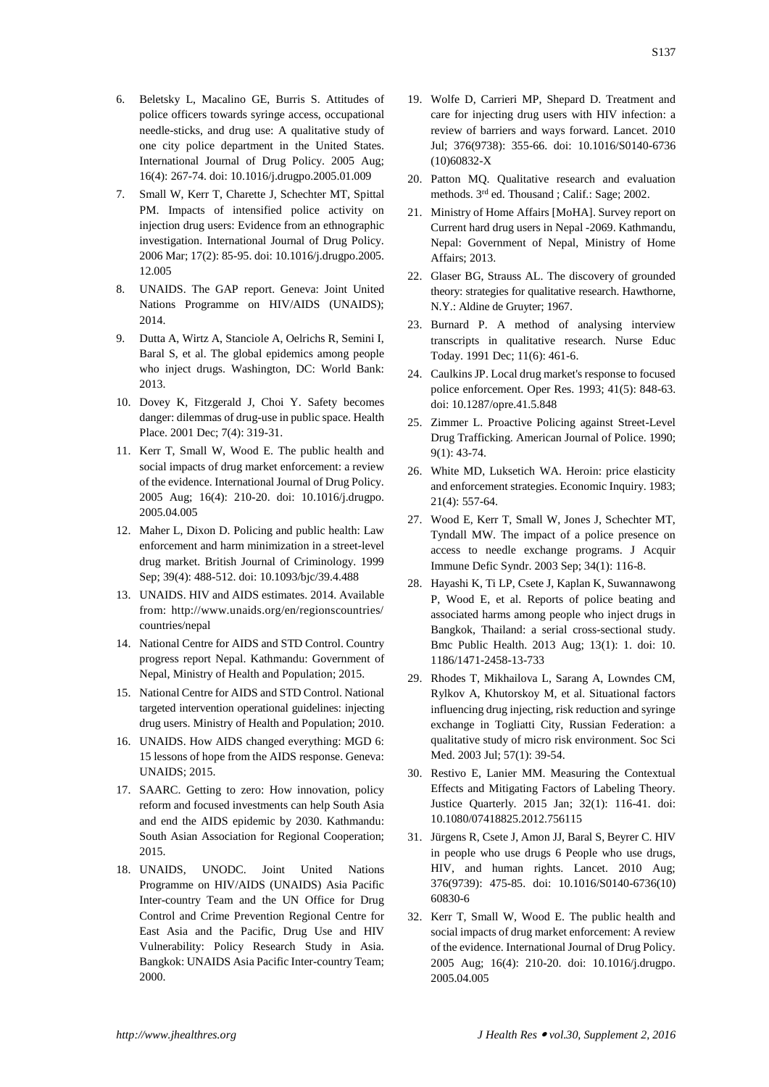- 6. Beletsky L, Macalino GE, Burris S. Attitudes of police officers towards syringe access, occupational needle-sticks, and drug use: A qualitative study of one city police department in the United States. International Journal of Drug Policy. 2005 Aug; 16(4): 267-74. doi: 10.1016/j.drugpo.2005.01.009
- 7. Small W, Kerr T, Charette J, Schechter MT, Spittal PM. Impacts of intensified police activity on injection drug users: Evidence from an ethnographic investigation. International Journal of Drug Policy. 2006 Mar; 17(2): 85-95. doi: 10.1016/j.drugpo.2005. 12.005
- 8. UNAIDS. The GAP report. Geneva: Joint United Nations Programme on HIV/AIDS (UNAIDS); 2014.
- 9. Dutta A, Wirtz A, Stanciole A, Oelrichs R, Semini I, Baral S, et al. The global epidemics among people who inject drugs. Washington, DC: World Bank: 2013.
- 10. Dovey K, Fitzgerald J, Choi Y. Safety becomes danger: dilemmas of drug-use in public space. Health Place. 2001 Dec; 7(4): 319-31.
- 11. Kerr T, Small W, Wood E. The public health and social impacts of drug market enforcement: a review of the evidence. International Journal of Drug Policy. 2005 Aug; 16(4): 210-20. doi: 10.1016/j.drugpo. 2005.04.005
- 12. Maher L, Dixon D. Policing and public health: Law enforcement and harm minimization in a street-level drug market. British Journal of Criminology. 1999 Sep; 39(4): 488-512. doi: 10.1093/bjc/39.4.488
- 13. UNAIDS. HIV and AIDS estimates. 2014. Available from: http://www.unaids.org/en/regionscountries/ countries/nepal
- 14. National Centre for AIDS and STD Control. Country progress report Nepal. Kathmandu: Government of Nepal, Ministry of Health and Population; 2015.
- 15. National Centre for AIDS and STD Control. National targeted intervention operational guidelines: injecting drug users. Ministry of Health and Population; 2010.
- 16. UNAIDS. How AIDS changed everything: MGD 6: 15 lessons of hope from the AIDS response. Geneva: UNAIDS; 2015.
- 17. SAARC. Getting to zero: How innovation, policy reform and focused investments can help South Asia and end the AIDS epidemic by 2030. Kathmandu: South Asian Association for Regional Cooperation; 2015.
- 18. UNAIDS, UNODC. Joint United Nations Programme on HIV/AIDS (UNAIDS) Asia Pacific Inter-country Team and the UN Office for Drug Control and Crime Prevention Regional Centre for East Asia and the Pacific, Drug Use and HIV Vulnerability: Policy Research Study in Asia. Bangkok: UNAIDS Asia Pacific Inter-country Team; 2000.
- 19. Wolfe D, Carrieri MP, Shepard D. Treatment and care for injecting drug users with HIV infection: a review of barriers and ways forward. Lancet. 2010 Jul; 376(9738): 355-66. doi: 10.1016/S0140-6736 (10)60832-X
- 20. Patton MQ. Qualitative research and evaluation methods. 3rd ed. Thousand ; Calif.: Sage; 2002.
- 21. Ministry of Home Affairs [MoHA]. Survey report on Current hard drug users in Nepal -2069. Kathmandu, Nepal: Government of Nepal, Ministry of Home Affairs; 2013.
- 22. Glaser BG, Strauss AL. The discovery of grounded theory: strategies for qualitative research. Hawthorne, N.Y.: Aldine de Gruyter; 1967.
- 23. Burnard P. A method of analysing interview transcripts in qualitative research. Nurse Educ Today. 1991 Dec; 11(6): 461-6.
- 24. Caulkins JP. Local drug market's response to focused police enforcement. Oper Res. 1993; 41(5): 848-63. doi: 10.1287/opre.41.5.848
- 25. Zimmer L. Proactive Policing against Street-Level Drug Trafficking. American Journal of Police. 1990; 9(1): 43-74.
- 26. White MD, Luksetich WA. Heroin: price elasticity and enforcement strategies. Economic Inquiry. 1983; 21(4): 557-64.
- 27. Wood E, Kerr T, Small W, Jones J, Schechter MT, Tyndall MW. The impact of a police presence on access to needle exchange programs. J Acquir Immune Defic Syndr. 2003 Sep; 34(1): 116-8.
- 28. Hayashi K, Ti LP, Csete J, Kaplan K, Suwannawong P, Wood E, et al. Reports of police beating and associated harms among people who inject drugs in Bangkok, Thailand: a serial cross-sectional study. Bmc Public Health. 2013 Aug; 13(1): 1. doi: 10. 1186/1471-2458-13-733
- 29. Rhodes T, Mikhailova L, Sarang A, Lowndes CM, Rylkov A, Khutorskoy M, et al. Situational factors influencing drug injecting, risk reduction and syringe exchange in Togliatti City, Russian Federation: a qualitative study of micro risk environment. Soc Sci Med. 2003 Jul; 57(1): 39-54.
- 30. Restivo E, Lanier MM. Measuring the Contextual Effects and Mitigating Factors of Labeling Theory. Justice Quarterly. 2015 Jan; 32(1): 116-41. doi: 10.1080/07418825.2012.756115
- 31. Jürgens R, Csete J, Amon JJ, Baral S, Beyrer C. HIV in people who use drugs 6 People who use drugs, HIV, and human rights. Lancet. 2010 Aug; 376(9739): 475-85. doi: 10.1016/S0140-6736(10) 60830-6
- 32. Kerr T, Small W, Wood E. The public health and social impacts of drug market enforcement: A review of the evidence. International Journal of Drug Policy. 2005 Aug; 16(4): 210-20. doi: 10.1016/j.drugpo. 2005.04.005